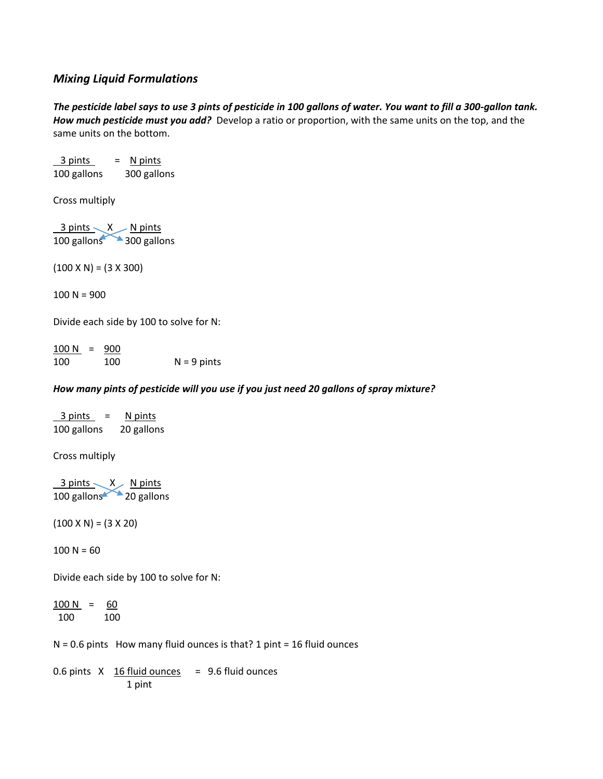# *Mixing Liquid Formulations*

*The pesticide label says to use 3 pints of pesticide in 100 gallons of water. You want to fill a 300-gallon tank. How much pesticide must you add?* Develop a ratio or proportion, with the same units on the top, and the same units on the bottom.

 $3 \text{ pints}$  = N pints 100 gallons 300 gallons Cross multiply 3 pints  $\lt X$  N pints 100 gallons 300 gallons  $(100 \times N) = (3 \times 300)$  $100 N = 900$ Divide each side by 100 to solve for N:  $100 N = 900$ 100 100 N = 9 pints *How many pints of pesticide will you use if you just need 20 gallons of spray mixture?*   $3 \text{ pints}$  = N pints 100 gallons 20 gallons Cross multiply 3 pints X N pints 100 gallons 20 gallons  $(100 \times N) = (3 \times 20)$  $100 N = 60$ Divide each side by 100 to solve for N:  $100 N = 60$ 100 100

 $N = 0.6$  pints How many fluid ounces is that? 1 pint = 16 fluid ounces

0.6 pints  $X$  16 fluid ounces = 9.6 fluid ounces 1 pint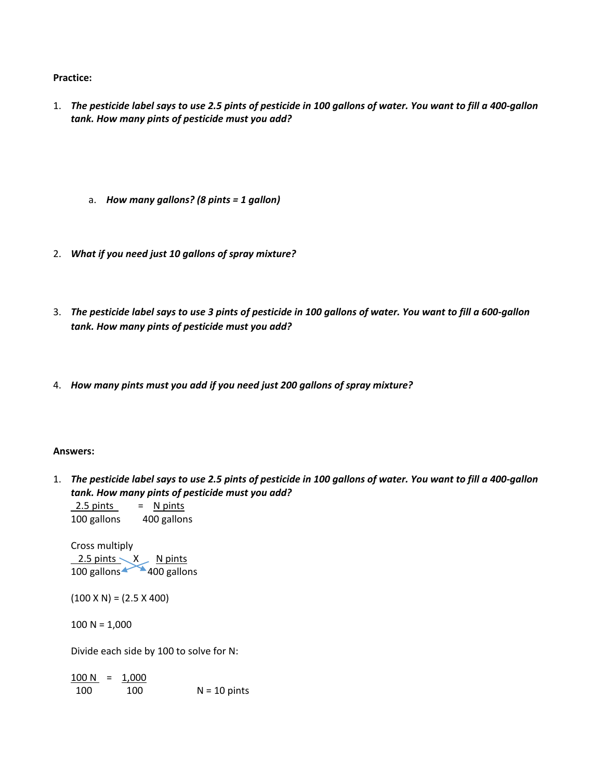### **Practice:**

- 1. *The pesticide label says to use 2.5 pints of pesticide in 100 gallons of water. You want to fill a 400-gallon tank. How many pints of pesticide must you add?*
	- a. *How many gallons? (8 pints = 1 gallon)*
- 2. *What if you need just 10 gallons of spray mixture?*
- 3. *The pesticide label says to use 3 pints of pesticide in 100 gallons of water. You want to fill a 600-gallon tank. How many pints of pesticide must you add?*
- 4. *How many pints must you add if you need just 200 gallons of spray mixture?*

### **Answers:**

1. *The pesticide label says to use 2.5 pints of pesticide in 100 gallons of water. You want to fill a 400-gallon tank. How many pints of pesticide must you add?*

 $2.5 \text{ pints}$  = N pints 100 gallons 400 gallons

Cross multiply  $2.5$  pints  $X$  N pints 100 gallons 400 gallons

 $(100 \times N) = (2.5 \times 400)$ 

 $100 N = 1,000$ 

Divide each side by 100 to solve for N:

 $100 N = 1,000$ 100 100 N = 10 pints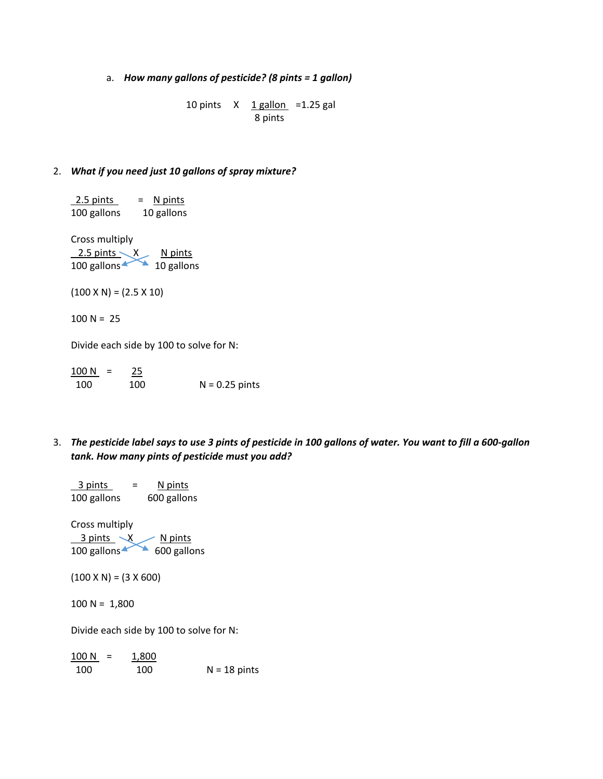a. *How many gallons of pesticide? (8 pints = 1 gallon)*

10 pints  $X$  1 gallon = 1.25 gal 8 pints

#### 2. *What if you need just 10 gallons of spray mixture?*

 $2.5 \text{ pints}$  = N pints 100 gallons 10 gallons Cross multiply  $2.5$  pints  $X$  N pints 100 gallons 10 gallons  $(100 \times N) = (2.5 \times 10)$  $100 N = 25$ Divide each side by 100 to solve for N:

 $100 N = 25$ 100 100 N = 0.25 pints

3. *The pesticide label says to use 3 pints of pesticide in 100 gallons of water. You want to fill a 600-gallon tank. How many pints of pesticide must you add?*

 $3 \text{ pints}$  = N pints 100 gallons 600 gallons Cross multiply 3 pints X N pints 100 gallons 600 gallons  $(100 \times N) = (3 \times 600)$  $100 N = 1,800$ Divide each side by 100 to solve for N:  $100 N = 1,800$ 

100 100 N = 18 pints